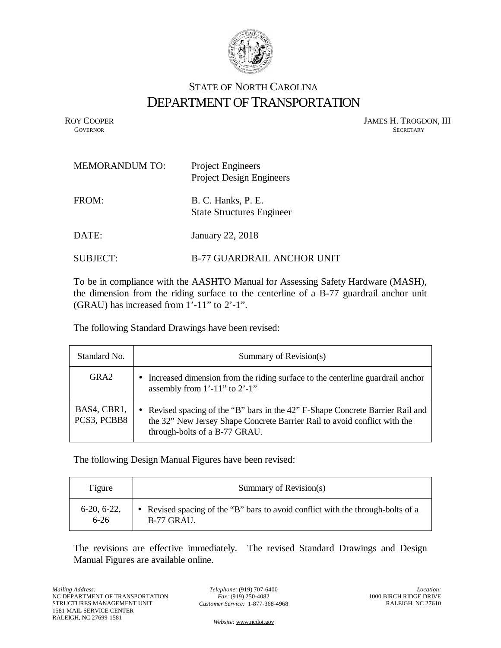

## STATE OF NORTH CAROLINA DEPARTMENT OF TRANSPORTATION

ROY COOPER JAMES H. TROGDON, III GOVERNOR SECRETARY SECRETARY **GOVERNOR** SECRETARY

| <b>MEMORANDUM TO:</b> | <b>Project Engineers</b><br><b>Project Design Engineers</b> |
|-----------------------|-------------------------------------------------------------|
| FROM:                 | B. C. Hanks, P. E.<br><b>State Structures Engineer</b>      |
| DATE:                 | January 22, 2018                                            |
| SUBJECT:              | <b>B-77 GUARDRAIL ANCHOR UNIT</b>                           |

To be in compliance with the AASHTO Manual for Assessing Safety Hardware (MASH), the dimension from the riding surface to the centerline of a B-77 guardrail anchor unit (GRAU) has increased from 1'-11" to 2'-1".

The following Standard Drawings have been revised:

| Standard No.               | Summary of Revision(s)                                                                                                                                                                                  |
|----------------------------|---------------------------------------------------------------------------------------------------------------------------------------------------------------------------------------------------------|
| GRA2                       | Increased dimension from the riding surface to the centerline guardrail anchor<br>$\bullet$<br>assembly from $1'$ -11" to $2'$ -1"                                                                      |
| BAS4, CBR1,<br>PCS3, PCBB8 | Revised spacing of the "B" bars in the 42" F-Shape Concrete Barrier Rail and<br>$\bullet$<br>the 32" New Jersey Shape Concrete Barrier Rail to avoid conflict with the<br>through-bolts of a B-77 GRAU. |

The following Design Manual Figures have been revised:

| Figure        | Summary of Revision(s)                                                          |
|---------------|---------------------------------------------------------------------------------|
| $6-20, 6-22,$ | • Revised spacing of the "B" bars to avoid conflict with the through-bolts of a |
| $6 - 26$      | $B-77$ GRAU.                                                                    |

The revisions are effective immediately. The revised Standard Drawings and Design Manual Figures are available online.

*Telephone:* (919) 707-6400 *Fax:* (919) 250-4082 *Customer Service:* 1-877-368-4968

*Website:* [www.ncdot.gov](http://www.ncdot.gov/)